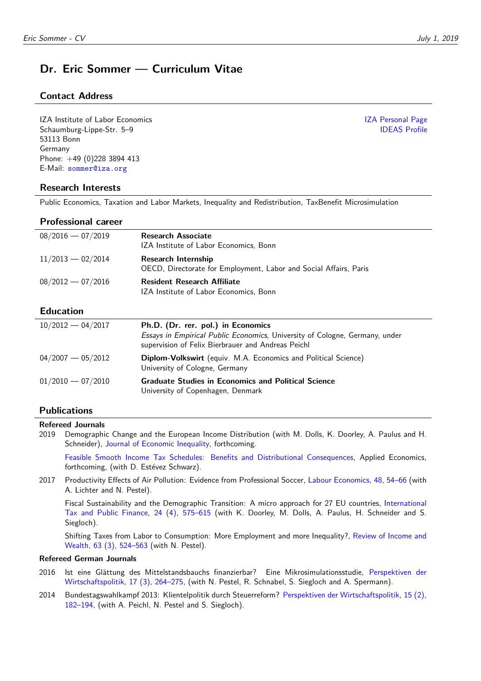# **Dr. Eric Sommer — Curriculum Vitae**

## **Contact Address**

IZA Institute of Labor Economics [IZA Personal Page](https://www.iza.org/people/staff/6354/eric-sommer) Schaumburg-Lippe-Str. 5–9 [IDEAS Profile](http://ideas.repec.org/f/pso408.html) 53113 Bonn Germany Phone: +49 (0)228 3894 413 E-Mail: <sommer@iza.org>

## **Research Interests**

Public Economics, Taxation and Labor Markets, Inequality and Redistribution, TaxBenefit Microsimulation

### **Professional career**

| $08/2016 - 07/2019$ | <b>Research Associate</b><br>IZA Institute of Labor Economics, Bonn                      |
|---------------------|------------------------------------------------------------------------------------------|
| $11/2013 - 02/2014$ | Research Internship<br>OECD, Directorate for Employment, Labor and Social Affairs, Paris |
| $08/2012 - 07/2016$ | <b>Resident Research Affiliate</b><br>IZA Institute of Labor Economics, Bonn             |
| <b>Education</b>    |                                                                                          |

#### **Education**

| $10/2012 - 04/2017$ | Ph.D. (Dr. rer. pol.) in Economics<br>Essays in Empirical Public Economics, University of Cologne, Germany, under<br>supervision of Felix Bierbrauer and Andreas Peichl |
|---------------------|-------------------------------------------------------------------------------------------------------------------------------------------------------------------------|
| $04/2007 - 05/2012$ | Diplom-Volkswirt (equiv. M.A. Economics and Political Science)<br>University of Cologne, Germany                                                                        |
| $01/2010 - 07/2010$ | <b>Graduate Studies in Economics and Political Science</b><br>University of Copenhagen, Denmark                                                                         |

## **Publications**

#### **Refereed Journals**

2019 Demographic Change and the European Income Distribution (with M. Dolls, K. Doorley, A. Paulus and H. Schneider), [Journal of Economic Inequality,](https://doi.org/10.1007/s10888-019-09411-z) forthcoming.

[Feasible Smooth Income Tax Schedules: Benefits and Distributional Consequences,](https://doi.org/10.1080/00036846.2019.1638500) Applied Economics, forthcoming, (with D. Estévez Schwarz).

2017 Productivity Effects of Air Pollution: Evidence from Professional Soccer, Labour Economics, 48, 54-66 (with A. Lichter and N. Pestel).

Fiscal Sustainability and the Demographic Transition: A micro approach for 27 EU countries, [International](http://doi.org/10.1007/s10797-017-9462-3) [Tax and Public Finance, 24 \(4\), 575–615](http://doi.org/10.1007/s10797-017-9462-3) (with K. Doorley, M. Dolls, A. Paulus, H. Schneider and S. Siegloch).

Shifting Taxes from Labor to Consumption: More Employment and more Inequality?, [Review of Income and](http://doi.org/10.1111/roiw.12232) [Wealth, 63 \(3\), 524–563](http://doi.org/10.1111/roiw.12232) (with N. Pestel).

#### **Refereed German Journals**

- 2016 Ist eine Glättung des Mittelstandsbauchs finanzierbar? Eine Mikrosimulationsstudie, [Perspektiven der](http://doi.org/10.1515/pwp-2016-0023) [Wirtschaftspolitik, 17 \(3\), 264–275,](http://doi.org/10.1515/pwp-2016-0023) (with N. Pestel, R. Schnabel, S. Siegloch and A. Spermann).
- 2014 Bundestagswahlkampf 2013: Klientelpolitik durch Steuerreform? [Perspektiven der Wirtschaftspolitik, 15 \(2\),](http://doi.org/10.1515/pwp-2014-0008) [182–194,](http://doi.org/10.1515/pwp-2014-0008) (with A. Peichl, N. Pestel and S. Siegloch).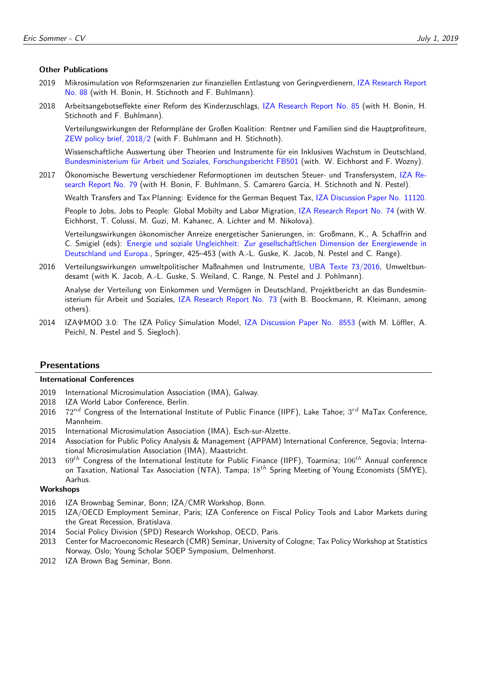#### **Other Publications**

- 2019 Mikrosimulation von Reformszenarien zur finanziellen Entlastung von Geringverdienern, [IZA Research Report](http://ftp.iza.org/report_pdfs/iza_report_88.pdf) [No. 88](http://ftp.iza.org/report_pdfs/iza_report_88.pdf) (with H. Bonin, H. Stichnoth and F. Buhlmann).
- 2018 Arbeitsangebotseffekte einer Reform des Kinderzuschlags, [IZA Research Report No. 85](http://ftp.iza.org/report_pdfs/iza_report_85.pdf) (with H. Bonin, H. Stichnoth and F. Buhlmann).

Verteilungswirkungen der Reformpläne der Großen Koalition: Rentner und Familien sind die Hauptprofiteure, [ZEW policy brief, 2018/2](http://ftp.zew.de/pub/zew-docs/policybrief/pb02-18.pdf) (with F. Buhlmann and H. Stichnoth).

Wissenschaftliche Auswertung über Theorien und Instrumente für ein Inklusives Wachstum in Deutschland, [Bundesministerium für Arbeit und Soziales, Forschungsbericht FB501](http://nbn-resolving.de/urn:nbn:de:0168-ssoar-55512-3) (with. W. Eichhorst and F. Wozny).

2017 Ökonomische Bewertung verschiedener Reformoptionen im deutschen Steuer- und Transfersystem, [IZA Re](http://legacy.iza.org/en/webcontent/publications/reports/report_pdfs/iza_report_79.pdf)[search Report No. 79](http://legacy.iza.org/en/webcontent/publications/reports/report_pdfs/iza_report_79.pdf) (with H. Bonin, F. Buhlmann, S. Camarero Garcia, H. Stichnoth and N. Pestel).

Wealth Transfers and Tax Planning: Evidence for the German Bequest Tax, [IZA Discussion Paper No. 11120.](http://legacy.iza.org/en/webcontent/publications/papers/viewAbstract?dp_id=11120)

People to Jobs, Jobs to People: Global Mobilty and Labor Migration, [IZA Research Report No. 74](http://legacy.iza.org/en/webcontent/publications/reports/report_pdfs/iza_report_74.pdf) (with W. Eichhorst, T. Colussi, M. Guzi, M. Kahanec, A. Lichter and M. Nikolova).

Verteilungswirkungen ökonomischer Anreize energetischer Sanierungen, in: Großmann, K., A. Schaffrin and C. Smigiel (eds): [Energie und soziale Ungleichheit: Zur gesellschaftlichen Dimension der Energiewende in](http://doi.org/10.1007/978-3-658-11723-8) [Deutschland und Europa.,](http://doi.org/10.1007/978-3-658-11723-8) Springer, 425–453 (with A.-L. Guske, K. Jacob, N. Pestel and C. Range).

2016 Verteilungswirkungen umweltpolitischer Maßnahmen und Instrumente, [UBA Texte 73/2016,](http://www.umweltbundesamt.de/sites/default/files/medien/1968/publikationen/2016-11-16_abschlussbericht_verteilungswirkungen_final.pdf) Umweltbundesamt (with K. Jacob, A.-L. Guske, S. Weiland, C. Range, N. Pestel and J. Pohlmann).

Analyse der Verteilung von Einkommen und Vermögen in Deutschland, Projektbericht an das Bundesministerium für Arbeit und Soziales, [IZA Research Report No. 73](http://legacy.iza.org/en/webcontent/publications/reports/report_pdfs/report_pdfs/iza_report_73.pdf) (with B. Boockmann, R. Kleimann, among others).

2014 IZAΨMOD 3.0: The IZA Policy Simulation Model, [IZA Discussion Paper No. 8553](http://www.iza.org/en/webcontent/publications/papers/viewAbstract?dp_id=8553) (with M. Löffler, A. Peichl, N. Pestel and S. Siegloch).

#### **Presentations**

#### **International Conferences**

- 2019 International Microsimulation Association (IMA), Galway.
- 2018 IZA World Labor Conference, Berlin.
- 2016 72*nd* Congress of the International Institute of Public Finance (IIPF), Lake Tahoe; 3 *rd* MaTax Conference, Mannheim.
- 2015 International Microsimulation Association (IMA), Esch-sur-Alzette.
- 2014 Association for Public Policy Analysis & Management (APPAM) International Conference, Segovia; International Microsimulation Association (IMA), Maastricht.
- 2013 69*th* Congress of the International Institute for Public Finance (IIPF), Toarmina; 106*th* Annual conference on Taxation, National Tax Association (NTA), Tampa; 18*th* Spring Meeting of Young Economists (SMYE), Aarhus.

#### **Workshops**

- 2016 IZA Brownbag Seminar, Bonn; IZA/CMR Workshop, Bonn.
- 2015 IZA/OECD Employment Seminar, Paris; IZA Conference on Fiscal Policy Tools and Labor Markets during the Great Recession, Bratislava.
- 2014 Social Policy Division (SPD) Research Workshop, OECD, Paris.
- 2013 Center for Macroeconomic Research (CMR) Seminar, University of Cologne; Tax Policy Workshop at Statistics Norway, Oslo; Young Scholar SOEP Symposium, Delmenhorst.
- 2012 IZA Brown Bag Seminar, Bonn.